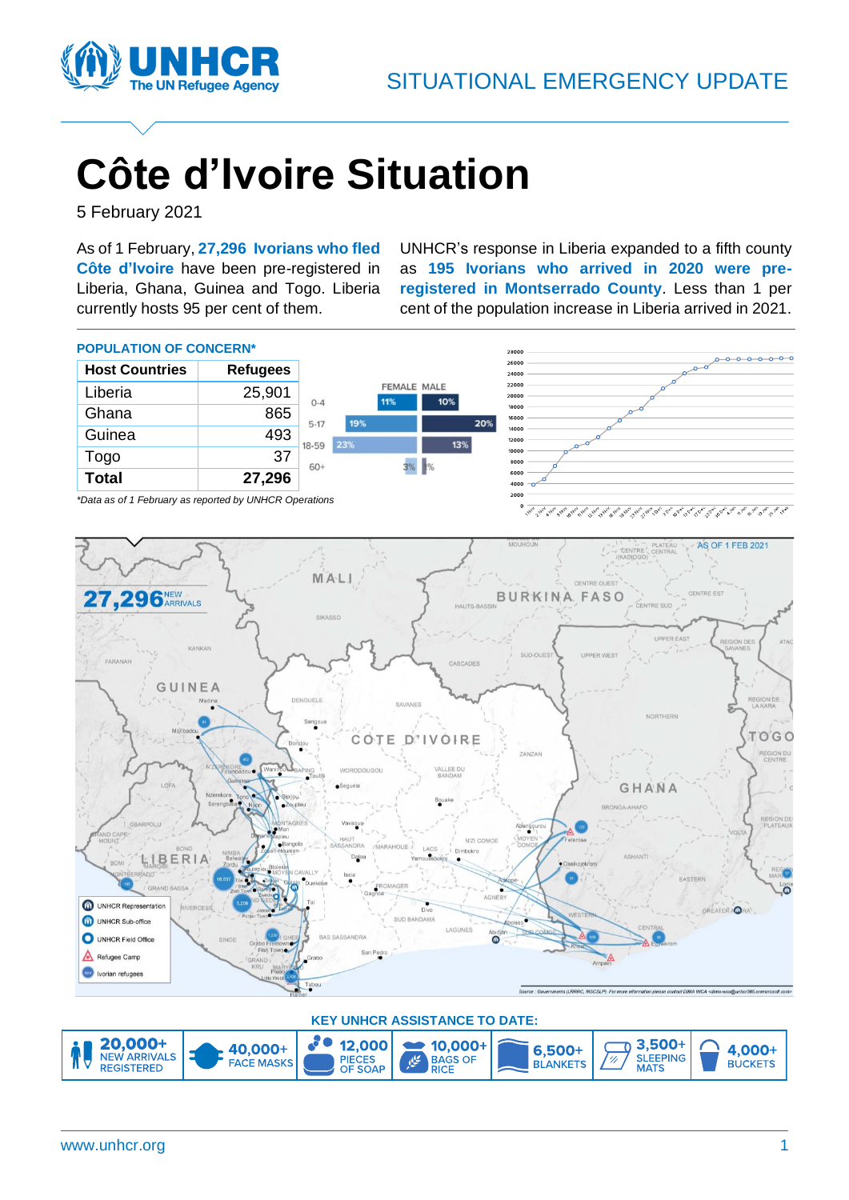

# **Côte d'Ivoire Situation**

5 February 2021

As of 1 February, **27,296 Ivorians who fled Côte d'Ivoire** have been pre-registered in Liberia, Ghana, Guinea and Togo. Liberia currently hosts 95 per cent of them.

UNHCR's response in Liberia expanded to a fifth county as **195 Ivorians who arrived in 2020 were preregistered in Montserrado County**. Less than 1 per cent of the population increase in Liberia arrived in 2021.



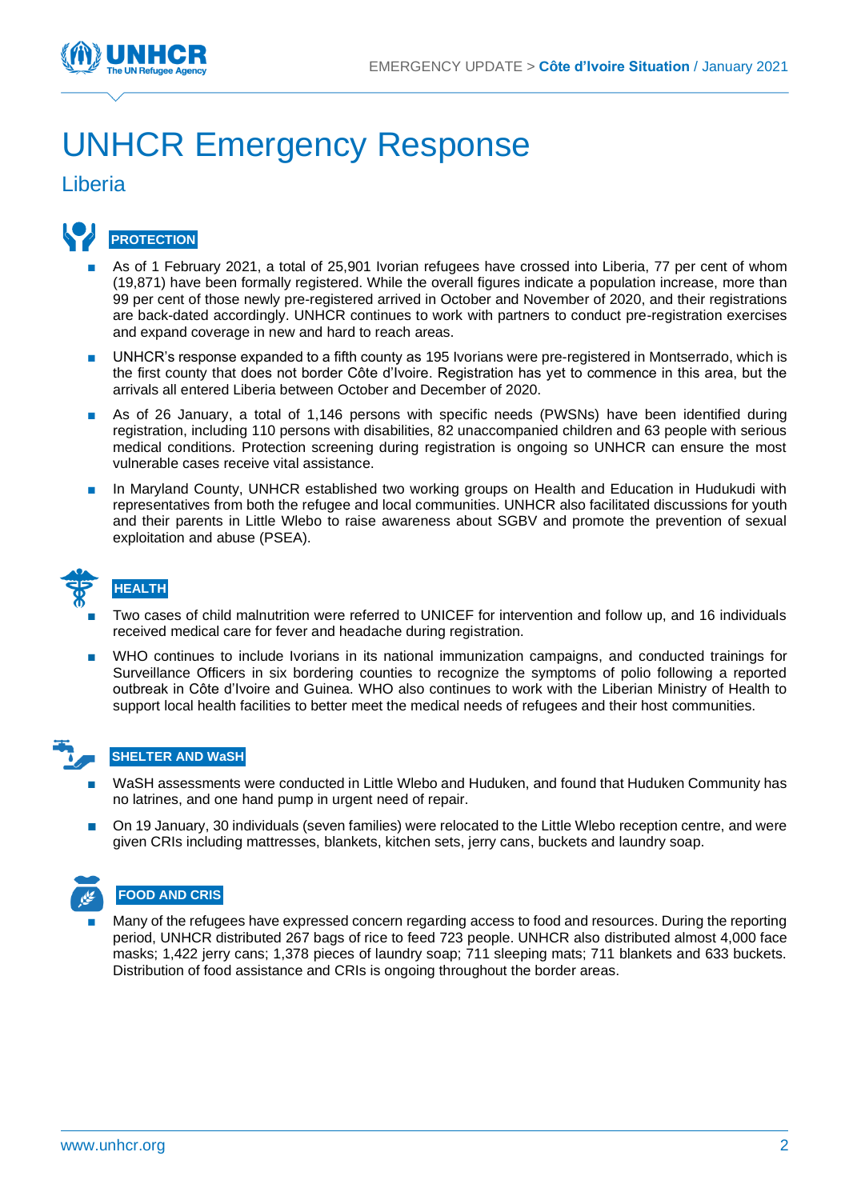

## UNHCR Emergency Response

#### Liberia



- As of 1 February 2021, a total of 25,901 Ivorian refugees have crossed into Liberia, 77 per cent of whom (19,871) have been formally registered. While the overall figures indicate a population increase, more than 99 per cent of those newly pre-registered arrived in October and November of 2020, and their registrations are back-dated accordingly. UNHCR continues to work with partners to conduct pre-registration exercises and expand coverage in new and hard to reach areas.
- UNHCR's response expanded to a fifth county as 195 Ivorians were pre-registered in Montserrado, which is the first county that does not border Côte d'Ivoire. Registration has yet to commence in this area, but the arrivals all entered Liberia between October and December of 2020.
- As of 26 January, a total of 1,146 persons with specific needs (PWSNs) have been identified during registration, including 110 persons with disabilities, 82 unaccompanied children and 63 people with serious medical conditions. Protection screening during registration is ongoing so UNHCR can ensure the most vulnerable cases receive vital assistance.
- In Maryland County, UNHCR established two working groups on Health and Education in Hudukudi with representatives from both the refugee and local communities. UNHCR also facilitated discussions for youth and their parents in Little Wlebo to raise awareness about SGBV and promote the prevention of sexual exploitation and abuse (PSEA).



#### **HEALTH**

- Two cases of child malnutrition were referred to UNICEF for intervention and follow up, and 16 individuals received medical care for fever and headache during registration.
- WHO continues to include Ivorians in its national immunization campaigns, and conducted trainings for Surveillance Officers in six bordering counties to recognize the symptoms of polio following a reported outbreak in Côte d'Ivoire and Guinea. WHO also continues to work with the Liberian Ministry of Health to support local health facilities to better meet the medical needs of refugees and their host communities.

#### **SHELTER AND WaSH**

- WaSH assessments were conducted in Little Wlebo and Huduken, and found that Huduken Community has no latrines, and one hand pump in urgent need of repair.
- On 19 January, 30 individuals (seven families) were relocated to the Little Wlebo reception centre, and were given CRIs including mattresses, blankets, kitchen sets, jerry cans, buckets and laundry soap.



Many of the refugees have expressed concern regarding access to food and resources. During the reporting period, UNHCR distributed 267 bags of rice to feed 723 people. UNHCR also distributed almost 4,000 face masks; 1,422 jerry cans; 1,378 pieces of laundry soap; 711 sleeping mats; 711 blankets and 633 buckets. Distribution of food assistance and CRIs is ongoing throughout the border areas.